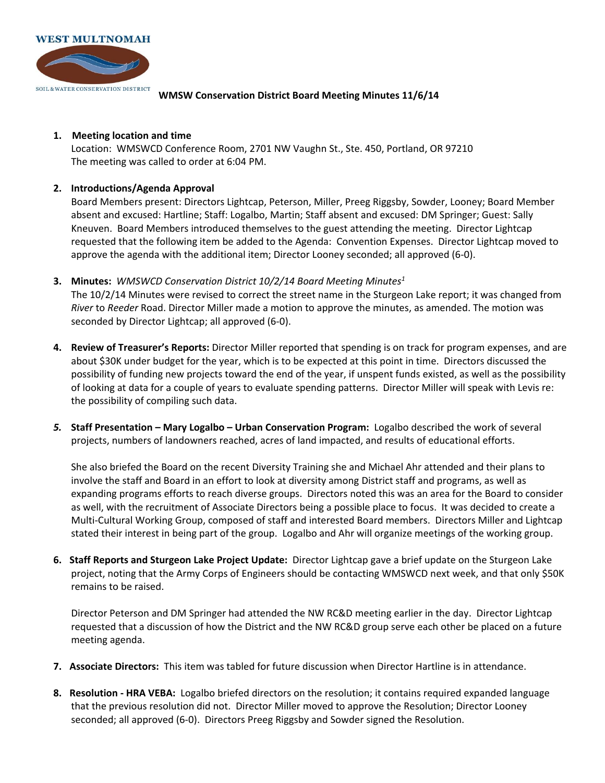

**WMSW Conservation District Board Meeting Minutes 11/6/14** 

## **1. Meeting location and time**

Location: WMSWCD Conference Room, 2701 NW Vaughn St., Ste. 450, Portland, OR 97210 The meeting was called to order at 6:04 PM.

## **2. Introductions/Agenda Approval**

Board Members present: Directors Lightcap, Peterson, Miller, Preeg Riggsby, Sowder, Looney; Board Member absent and excused: Hartline; Staff: Logalbo, Martin; Staff absent and excused: DM Springer; Guest: Sally Kneuven. Board Members introduced themselves to the guest attending the meeting. Director Lightcap requested that the following item be added to the Agenda: Convention Expenses. Director Lightcap moved to approve the agenda with the additional item; Director Looney seconded; all approved (6-0).

**3. Minutes:** *WMSWCD Conservation District 10/2/14 Board Meeting Minutes<sup>1</sup>*

The 10/2/14 Minutes were revised to correct the street name in the Sturgeon Lake report; it was changed from *River* to *Reeder* Road. Director Miller made a motion to approve the minutes, as amended. The motion was seconded by Director Lightcap; all approved (6-0).

- **4. Review of Treasurer's Reports:** Director Miller reported that spending is on track for program expenses, and are about \$30K under budget for the year, which is to be expected at this point in time. Directors discussed the possibility of funding new projects toward the end of the year, if unspent funds existed, as well as the possibility of looking at data for a couple of years to evaluate spending patterns. Director Miller will speak with Levis re: the possibility of compiling such data.
- *5.* **Staff Presentation – Mary Logalbo – Urban Conservation Program:** Logalbo described the work of several projects, numbers of landowners reached, acres of land impacted, and results of educational efforts.

She also briefed the Board on the recent Diversity Training she and Michael Ahr attended and their plans to involve the staff and Board in an effort to look at diversity among District staff and programs, as well as expanding programs efforts to reach diverse groups. Directors noted this was an area for the Board to consider as well, with the recruitment of Associate Directors being a possible place to focus. It was decided to create a Multi-Cultural Working Group, composed of staff and interested Board members. Directors Miller and Lightcap stated their interest in being part of the group. Logalbo and Ahr will organize meetings of the working group.

**6. Staff Reports and Sturgeon Lake Project Update:** Director Lightcap gave a brief update on the Sturgeon Lake project, noting that the Army Corps of Engineers should be contacting WMSWCD next week, and that only \$50K remains to be raised.

Director Peterson and DM Springer had attended the NW RC&D meeting earlier in the day. Director Lightcap requested that a discussion of how the District and the NW RC&D group serve each other be placed on a future meeting agenda.

- **7. Associate Directors:** This item was tabled for future discussion when Director Hartline is in attendance.
- **8. Resolution - HRA VEBA:** Logalbo briefed directors on the resolution; it contains required expanded language that the previous resolution did not. Director Miller moved to approve the Resolution; Director Looney seconded; all approved (6-0). Directors Preeg Riggsby and Sowder signed the Resolution.